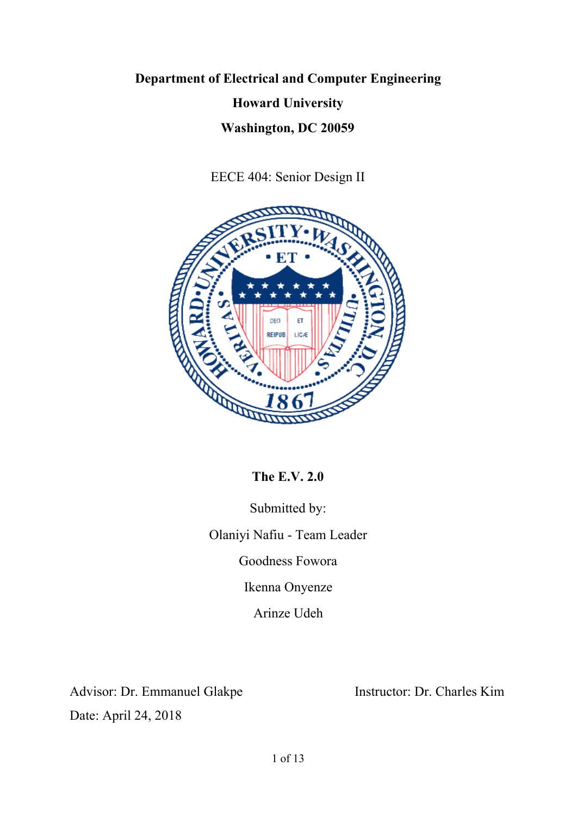# **Department of Electrical and Computer Engineering Howard University Washington, DC 20059**

EECE 404: Senior Design II



**The E.V. 2.0**

Submitted by: Olaniyi Nafiu - Team Leader Goodness Fowora Ikenna Onyenze Arinze Udeh

Advisor: Dr. Emmanuel Glakpe Instructor: Dr. Charles Kim Date: April 24, 2018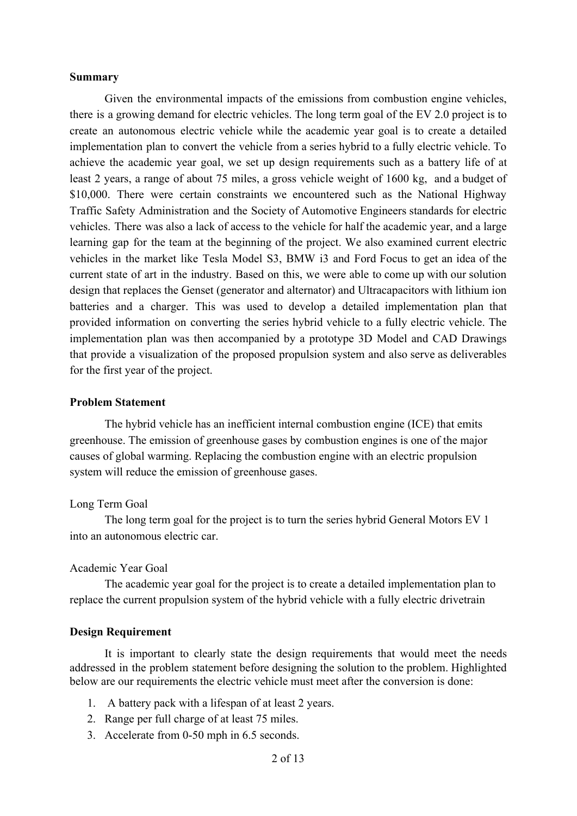### **Summary**

Given the environmental impacts of the emissions from combustion engine vehicles, there is a growing demand for electric vehicles. The long term goal of the EV 2.0 project is to create an autonomous electric vehicle while the academic year goal is to create a detailed implementation plan to convert the vehicle from a series hybrid to a fully electric vehicle. To achieve the academic year goal, we set up design requirements such as a battery life of at least 2 years, a range of about 75 miles, a gross vehicle weight of 1600 kg, and a budget of \$10,000. There were certain constraints we encountered such as the National Highway Traffic Safety Administration and the Society of Automotive Engineers standards for electric vehicles. There was also a lack of access to the vehicle for half the academic year, and a large learning gap for the team at the beginning of the project. We also examined current electric vehicles in the market like Tesla Model S3, BMW i3 and Ford Focus to get an idea of the current state of art in the industry. Based on this, we were able to come up with our solution design that replaces the Genset (generator and alternator) and Ultracapacitors with lithium ion batteries and a charger. This was used to develop a detailed implementation plan that provided information on converting the series hybrid vehicle to a fully electric vehicle. The implementation plan was then accompanied by a prototype 3D Model and CAD Drawings that provide a visualization of the proposed propulsion system and also serve as deliverables for the first year of the project.

#### **Problem Statement**

The hybrid vehicle has an inefficient internal combustion engine (ICE) that emits greenhouse. The emission of greenhouse gases by combustion engines is one of the major causes of global warming. Replacing the combustion engine with an electric propulsion system will reduce the emission of greenhouse gases.

#### Long Term Goal

The long term goal for the project is to turn the series hybrid General Motors EV 1 into an autonomous electric car.

#### Academic Year Goal

The academic year goal for the project is to create a detailed implementation plan to replace the current propulsion system of the hybrid vehicle with a fully electric drivetrain

#### **Design Requirement**

It is important to clearly state the design requirements that would meet the needs addressed in the problem statement before designing the solution to the problem. Highlighted below are our requirements the electric vehicle must meet after the conversion is done:

- 1. A battery pack with a lifespan of at least 2 years.
- 2. Range per full charge of at least 75 miles.
- 3. Accelerate from 0-50 mph in 6.5 seconds.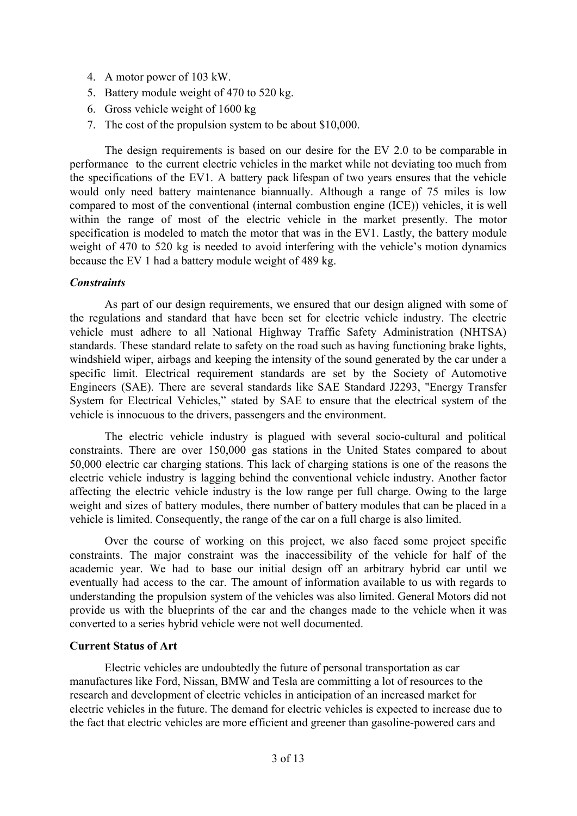- 4. A motor power of 103 kW.
- 5. Battery module weight of 470 to 520 kg.
- 6. Gross vehicle weight of 1600 kg
- 7. The cost of the propulsion system to be about \$10,000.

The design requirements is based on our desire for the EV 2.0 to be comparable in performance to the current electric vehicles in the market while not deviating too much from the specifications of the EV1. A battery pack lifespan of two years ensures that the vehicle would only need battery maintenance biannually. Although a range of 75 miles is low compared to most of the conventional (internal combustion engine (ICE)) vehicles, it is well within the range of most of the electric vehicle in the market presently. The motor specification is modeled to match the motor that was in the EV1. Lastly, the battery module weight of 470 to 520 kg is needed to avoid interfering with the vehicle's motion dynamics because the EV 1 had a battery module weight of 489 kg.

### *Constraints*

As part of our design requirements, we ensured that our design aligned with some of the regulations and standard that have been set for electric vehicle industry. The electric vehicle must adhere to all National Highway Traffic Safety Administration (NHTSA) standards. These standard relate to safety on the road such as having functioning brake lights, windshield wiper, airbags and keeping the intensity of the sound generated by the car under a specific limit. Electrical requirement standards are set by the Society of Automotive Engineers (SAE). There are several standards like SAE Standard J2293, "Energy Transfer System for Electrical Vehicles," stated by SAE to ensure that the electrical system of the vehicle is innocuous to the drivers, passengers and the environment.

The electric vehicle industry is plagued with several socio-cultural and political constraints. There are over 150,000 gas stations in the United States compared to about 50,000 electric car charging stations. This lack of charging stations is one of the reasons the electric vehicle industry is lagging behind the conventional vehicle industry. Another factor affecting the electric vehicle industry is the low range per full charge. Owing to the large weight and sizes of battery modules, there number of battery modules that can be placed in a vehicle is limited. Consequently, the range of the car on a full charge is also limited.

Over the course of working on this project, we also faced some project specific constraints. The major constraint was the inaccessibility of the vehicle for half of the academic year. We had to base our initial design off an arbitrary hybrid car until we eventually had access to the car. The amount of information available to us with regards to understanding the propulsion system of the vehicles was also limited. General Motors did not provide us with the blueprints of the car and the changes made to the vehicle when it was converted to a series hybrid vehicle were not well documented.

### **Current Status of Art**

Electric vehicles are undoubtedly the future of personal transportation as car manufactures like Ford, Nissan, BMW and Tesla are committing a lot of resources to the research and development of electric vehicles in anticipation of an increased market for electric vehicles in the future. The demand for electric vehicles is expected to increase due to the fact that electric vehicles are more efficient and greener than gasoline-powered cars and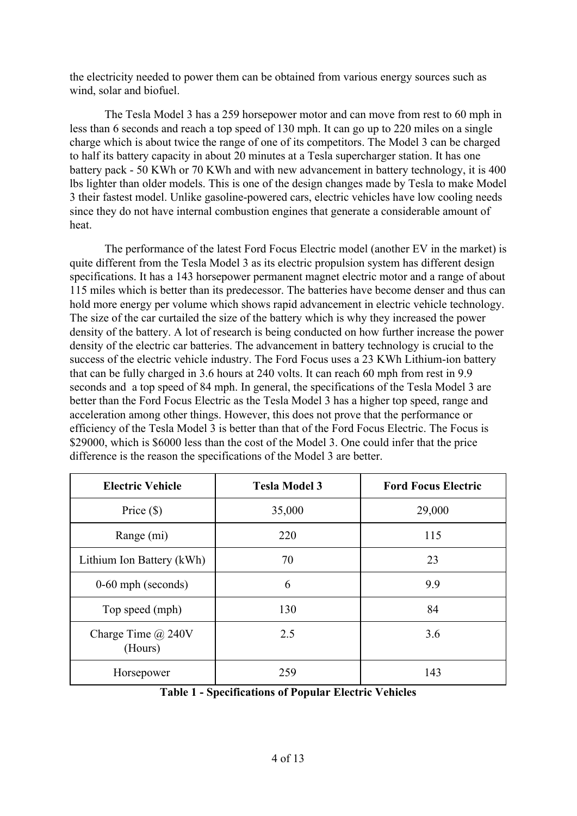the electricity needed to power them can be obtained from various energy sources such as wind, solar and biofuel.

The Tesla Model 3 has a 259 horsepower motor and can move from rest to 60 mph in less than 6 seconds and reach a top speed of 130 mph. It can go up to 220 miles on a single charge which is about twice the range of one of its competitors. The Model 3 can be charged to half its battery capacity in about 20 minutes at a Tesla supercharger station. It has one battery pack - 50 KWh or 70 KWh and with new advancement in battery technology, it is 400 lbs lighter than older models. This is one of the design changes made by Tesla to make Model 3 their fastest model. Unlike gasoline-powered cars, electric vehicles have low cooling needs since they do not have internal combustion engines that generate a considerable amount of heat.

The performance of the latest Ford Focus Electric model (another EV in the market) is quite different from the Tesla Model 3 as its electric propulsion system has different design specifications. It has a 143 horsepower permanent magnet electric motor and a range of about 115 miles which is better than its predecessor. The batteries have become denser and thus can hold more energy per volume which shows rapid advancement in electric vehicle technology. The size of the car curtailed the size of the battery which is why they increased the power density of the battery. A lot of research is being conducted on how further increase the power density of the electric car batteries. The advancement in battery technology is crucial to the success of the electric vehicle industry. The Ford Focus uses a 23 KWh Lithium-ion battery that can be fully charged in 3.6 hours at 240 volts. It can reach 60 mph from rest in 9.9 seconds and a top speed of 84 mph. In general, the specifications of the Tesla Model 3 are better than the Ford Focus Electric as the Tesla Model 3 has a higher top speed, range and acceleration among other things. However, this does not prove that the performance or efficiency of the Tesla Model 3 is better than that of the Ford Focus Electric. The Focus is \$29000, which is \$6000 less than the cost of the Model 3. One could infer that the price difference is the reason the specifications of the Model 3 are better.

| <b>Electric Vehicle</b>              | <b>Tesla Model 3</b> | <b>Ford Focus Electric</b> |  |
|--------------------------------------|----------------------|----------------------------|--|
| Price $(\$)$                         | 35,000               | 29,000                     |  |
| Range (mi)                           | 220                  | 115                        |  |
| Lithium Ion Battery (kWh)            | 70                   | 23                         |  |
| $0-60$ mph (seconds)                 | 6                    | 9.9                        |  |
| Top speed (mph)                      | 130                  | 84                         |  |
| Charge Time $\omega$ 240V<br>(Hours) | 2.5                  | 3.6                        |  |
| Horsepower                           | 259                  | 143                        |  |

**Table 1 - Specifications of Popular Electric Vehicles**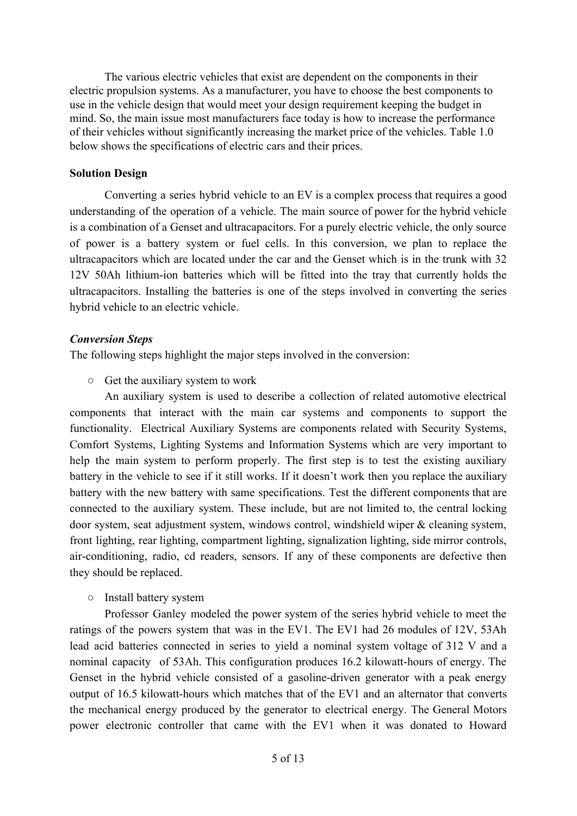The various electric vehicles that exist are dependent on the components in their electric propulsion systems. As a manufacturer, you have to choose the best components to use in the vehicle design that would meet your design requirement keeping the budget in mind. So, the main issue most manufacturers face today is how to increase the performance of their vehicles without significantly increasing the market price of the vehicles. Table 1.0 below shows the specifications of electric cars and their prices.

## **Solution Design**

Converting a series hybrid vehicle to an EV is a complex process that requires a good understanding of the operation of a vehicle. The main source of power for the hybrid vehicle is a combination of a Genset and ultracapacitors. For a purely electric vehicle, the only source of power is a battery system or fuel cells. In this conversion, we plan to replace the ultracapacitors which are located under the car and the Genset which is in the trunk with 32 12V 50Ah lithium-ion batteries which will be fitted into the tray that currently holds the ultracapacitors. Installing the batteries is one of the steps involved in converting the series hybrid vehicle to an electric vehicle.

## *Conversion Steps*

The following steps highlight the major steps involved in the conversion:

○ Get the auxiliary system to work

An auxiliary system is used to describe a collection of related automotive electrical components that interact with the main car systems and components to support the functionality. Electrical Auxiliary Systems are components related with Security Systems, Comfort Systems, Lighting Systems and Information Systems which are very important to help the main system to perform properly. The first step is to test the existing auxiliary battery in the vehicle to see if it still works. If it doesn't work then you replace the auxiliary battery with the new battery with same specifications. Test the different components that are connected to the auxiliary system. These include, but are not limited to, the central locking door system, seat adjustment system, windows control, windshield wiper & cleaning system, front lighting, rear lighting, compartment lighting, signalization lighting, side mirror controls, air-conditioning, radio, cd readers, sensors. If any of these components are defective then they should be replaced.

## ○ Install battery system

Professor Ganley modeled the power system of the series hybrid vehicle to meet the ratings of the powers system that was in the EV1. The EV1 had 26 modules of 12V, 53Ah lead acid batteries connected in series to yield a nominal system voltage of 312 V and a nominal capacity of 53Ah. This configuration produces 16.2 kilowatt-hours of energy. The Genset in the hybrid vehicle consisted of a gasoline-driven generator with a peak energy output of 16.5 kilowatt-hours which matches that of the EV1 and an alternator that converts the mechanical energy produced by the generator to electrical energy. The General Motors power electronic controller that came with the EV1 when it was donated to Howard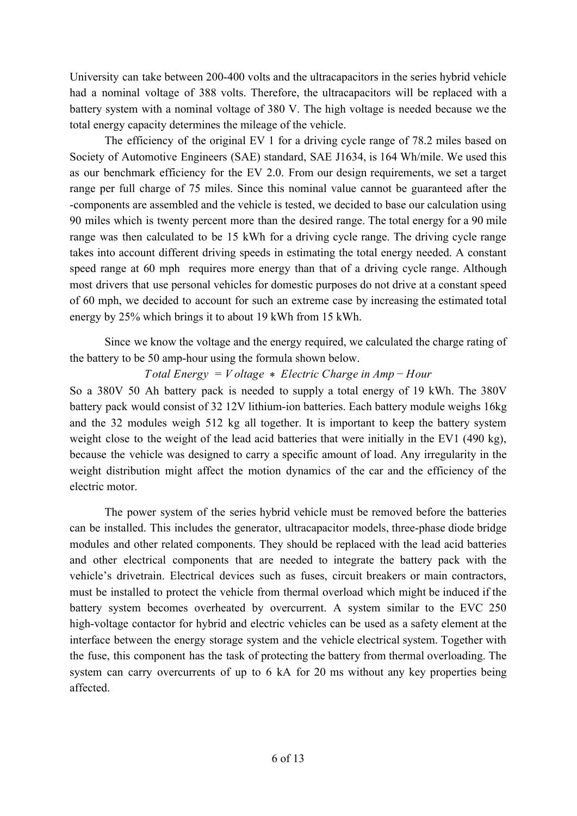University can take between 200-400 volts and the ultracapacitors in the series hybrid vehicle had a nominal voltage of 388 volts. Therefore, the ultracapacitors will be replaced with a battery system with a nominal voltage of 380 V. The high voltage is needed because we the total energy capacity determines the mileage of the vehicle.

The efficiency of the original EV 1 for a driving cycle range of 78.2 miles based on Society of Automotive Engineers (SAE) standard, SAE J1634, is 164 Wh/mile. We used this as our benchmark efficiency for the EV 2.0. From our design requirements, we set a target range per full charge of 75 miles. Since this nominal value cannot be guaranteed after the -components are assembled and the vehicle is tested, we decided to base our calculation using 90 miles which is twenty percent more than the desired range. The total energy for a 90 mile range was then calculated to be 15 kWh for a driving cycle range. The driving cycle range takes into account different driving speeds in estimating the total energy needed. A constant speed range at 60 mph requires more energy than that of a driving cycle range. Although most drivers that use personal vehicles for domestic purposes do not drive at a constant speed of 60 mph, we decided to account for such an extreme case by increasing the estimated total energy by 25% which brings it to about 19 kWh from 15 kWh.

Since we know the voltage and the energy required, we calculated the charge rating of the battery to be 50 amp-hour using the formula shown below.

*Total Energy* = *V oltage* \* *Electric Charge in Amp* − *Hour*

So a 380V 50 Ah battery pack is needed to supply a total energy of 19 kWh. The 380V battery pack would consist of 32 12V lithium-ion batteries. Each battery module weighs 16kg and the 32 modules weigh 512 kg all together. It is important to keep the battery system weight close to the weight of the lead acid batteries that were initially in the EV1 (490 kg), because the vehicle was designed to carry a specific amount of load. Any irregularity in the weight distribution might affect the motion dynamics of the car and the efficiency of the electric motor.

The power system of the series hybrid vehicle must be removed before the batteries can be installed. This includes the generator, ultracapacitor models, three-phase diode bridge modules and other related components. They should be replaced with the lead acid batteries and other electrical components that are needed to integrate the battery pack with the vehicle's drivetrain. Electrical devices such as fuses, circuit breakers or main contractors, must be installed to protect the vehicle from thermal overload which might be induced if the battery system becomes overheated by overcurrent. A system similar to the EVC 250 high-voltage contactor for hybrid and electric vehicles can be used as a safety element at the interface between the energy storage system and the vehicle electrical system. Together with the fuse, this component has the task of protecting the battery from thermal overloading. The system can carry overcurrents of up to 6 kA for 20 ms without any key properties being affected.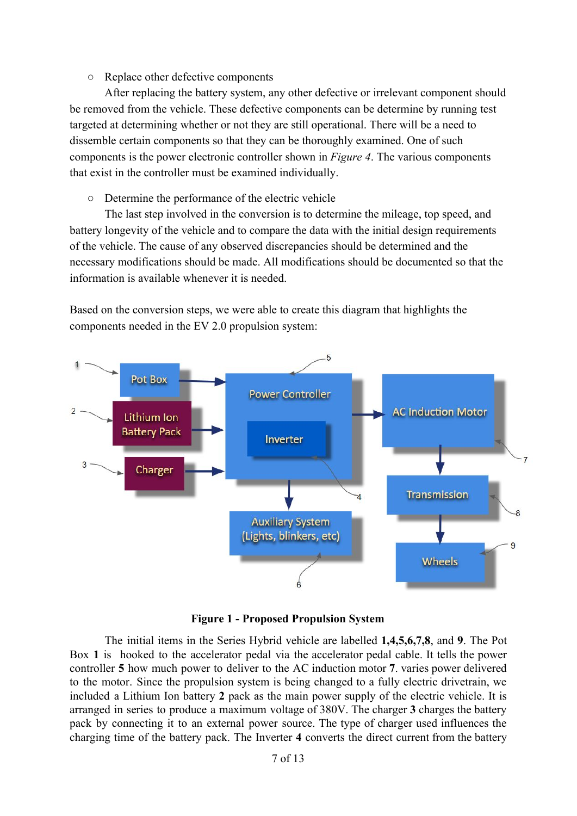## ○ Replace other defective components

After replacing the battery system, any other defective or irrelevant component should be removed from the vehicle. These defective components can be determine by running test targeted at determining whether or not they are still operational. There will be a need to dissemble certain components so that they can be thoroughly examined. One of such components is the power electronic controller shown in *Figure 4*. The various components that exist in the controller must be examined individually.

○ Determine the performance of the electric vehicle

The last step involved in the conversion is to determine the mileage, top speed, and battery longevity of the vehicle and to compare the data with the initial design requirements of the vehicle. The cause of any observed discrepancies should be determined and the necessary modifications should be made. All modifications should be documented so that the information is available whenever it is needed.

Based on the conversion steps, we were able to create this diagram that highlights the components needed in the EV 2.0 propulsion system:



**Figure 1 - Proposed Propulsion System**

The initial items in the Series Hybrid vehicle are labelled **1,4,5,6,7,8**, and **9**. The Pot Box **1** is hooked to the accelerator pedal via the accelerator pedal cable. It tells the power controller **5** how much power to deliver to the AC induction motor **7**. varies power delivered to the motor. Since the propulsion system is being changed to a fully electric drivetrain, we included a Lithium Ion battery **2** pack as the main power supply of the electric vehicle. It is arranged in series to produce a maximum voltage of 380V. The charger **3** charges the battery pack by connecting it to an external power source. The type of charger used influences the charging time of the battery pack. The Inverter **4** converts the direct current from the battery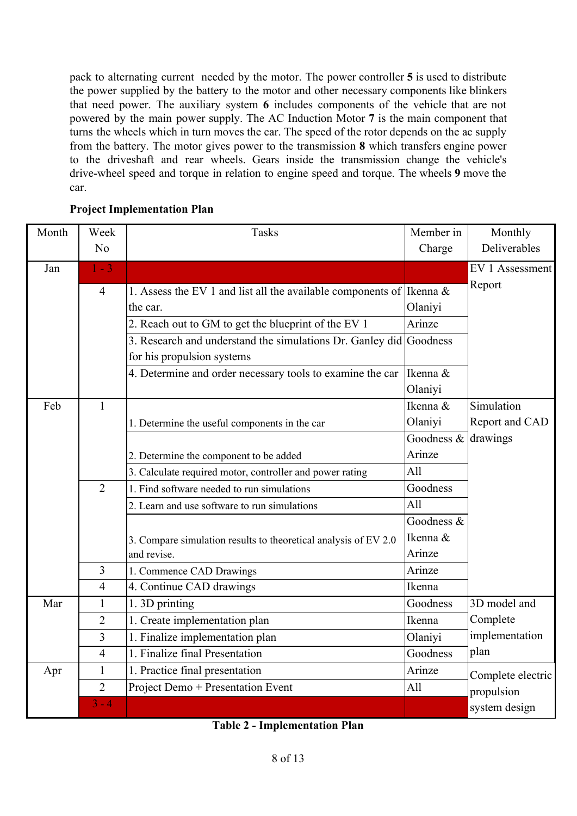pack to alternating current needed by the motor. The power controller **5** is used to distribute the power supplied by the battery to the motor and other necessary components like blinkers that need power. The auxiliary system **6** includes components of the vehicle that are not powered by the main power supply. The AC Induction Motor **7** is the main component that turns the wheels which in turn moves the car. The speed of the rotor depends on the ac supply from the battery. The motor gives power to the transmission **8** which transfers engine power to the driveshaft and rear wheels. Gears inside the transmission change the vehicle's drive-wheel speed and torque in relation to engine speed and torque. The wheels **9** move the car.

## **Project Implementation Plan**

| Month | Week           | <b>Tasks</b>                                                            | Member in                | Monthly           |
|-------|----------------|-------------------------------------------------------------------------|--------------------------|-------------------|
|       | N <sub>0</sub> |                                                                         | Charge                   | Deliverables      |
| Jan   | $1 - 3$        |                                                                         |                          | EV 1 Assessment   |
|       | $\overline{4}$ | 1. Assess the EV 1 and list all the available components of Ikenna $\&$ |                          | Report            |
|       |                | the car.                                                                | Olaniyi                  |                   |
|       |                | 2. Reach out to GM to get the blueprint of the EV 1                     | Arinze                   |                   |
|       |                | 3. Research and understand the simulations Dr. Ganley did Goodness      |                          |                   |
|       |                | for his propulsion systems                                              |                          |                   |
|       |                | 4. Determine and order necessary tools to examine the car               | Ikenna &                 |                   |
|       |                |                                                                         | Olaniyi                  |                   |
| Feb   | $\mathbf{1}$   |                                                                         | Ikenna &                 | Simulation        |
|       |                | 1. Determine the useful components in the car                           | Olaniyi                  | Report and CAD    |
|       |                |                                                                         | Goodness $\&$ drawings   |                   |
|       |                | 2. Determine the component to be added                                  | Arinze                   |                   |
|       |                | 3. Calculate required motor, controller and power rating                | All                      |                   |
|       | $\overline{2}$ | 1. Find software needed to run simulations                              | Goodness                 |                   |
|       |                | 2. Learn and use software to run simulations                            | All                      |                   |
|       |                |                                                                         | Goodness $\overline{\&}$ |                   |
|       |                | 3. Compare simulation results to theoretical analysis of EV 2.0         | Ikenna &                 |                   |
|       |                | and revise.                                                             | Arinze                   |                   |
|       | $\overline{3}$ | 1. Commence CAD Drawings                                                | Arinze                   |                   |
|       | $\overline{4}$ | 4. Continue CAD drawings                                                | Ikenna                   |                   |
| Mar   | $\mathbf{1}$   | 1.3D printing                                                           | Goodness                 | 3D model and      |
|       | $\overline{2}$ | 1. Create implementation plan                                           | Ikenna                   | Complete          |
|       | 3              | 1. Finalize implementation plan                                         | Olaniyi                  | implementation    |
|       | $\overline{4}$ | 1. Finalize final Presentation                                          | Goodness                 | plan              |
| Apr   | 1              | 1. Practice final presentation                                          | Arinze                   | Complete electric |
|       | $\overline{2}$ | Project Demo + Presentation Event                                       | All                      | propulsion        |
|       | $3 - 4$        |                                                                         |                          | system design     |

**Table 2 - Implementation Plan**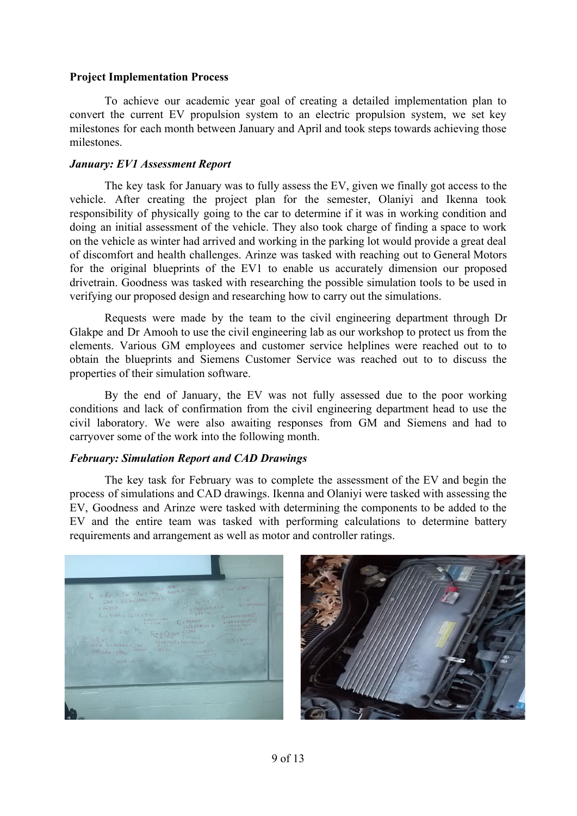## **Project Implementation Process**

To achieve our academic year goal of creating a detailed implementation plan to convert the current EV propulsion system to an electric propulsion system, we set key milestones for each month between January and April and took steps towards achieving those milestones.

## *January: EV1 Assessment Report*

The key task for January was to fully assess the EV, given we finally got access to the vehicle. After creating the project plan for the semester, Olaniyi and Ikenna took responsibility of physically going to the car to determine if it was in working condition and doing an initial assessment of the vehicle. They also took charge of finding a space to work on the vehicle as winter had arrived and working in the parking lot would provide a great deal of discomfort and health challenges. Arinze was tasked with reaching out to General Motors for the original blueprints of the EV1 to enable us accurately dimension our proposed drivetrain. Goodness was tasked with researching the possible simulation tools to be used in verifying our proposed design and researching how to carry out the simulations.

Requests were made by the team to the civil engineering department through Dr Glakpe and Dr Amooh to use the civil engineering lab as our workshop to protect us from the elements. Various GM employees and customer service helplines were reached out to to obtain the blueprints and Siemens Customer Service was reached out to to discuss the properties of their simulation software.

By the end of January, the EV was not fully assessed due to the poor working conditions and lack of confirmation from the civil engineering department head to use the civil laboratory. We were also awaiting responses from GM and Siemens and had to carryover some of the work into the following month.

### *February: Simulation Report and CAD Drawings*

The key task for February was to complete the assessment of the EV and begin the process of simulations and CAD drawings. Ikenna and Olaniyi were tasked with assessing the EV, Goodness and Arinze were tasked with determining the components to be added to the EV and the entire team was tasked with performing calculations to determine battery requirements and arrangement as well as motor and controller ratings.



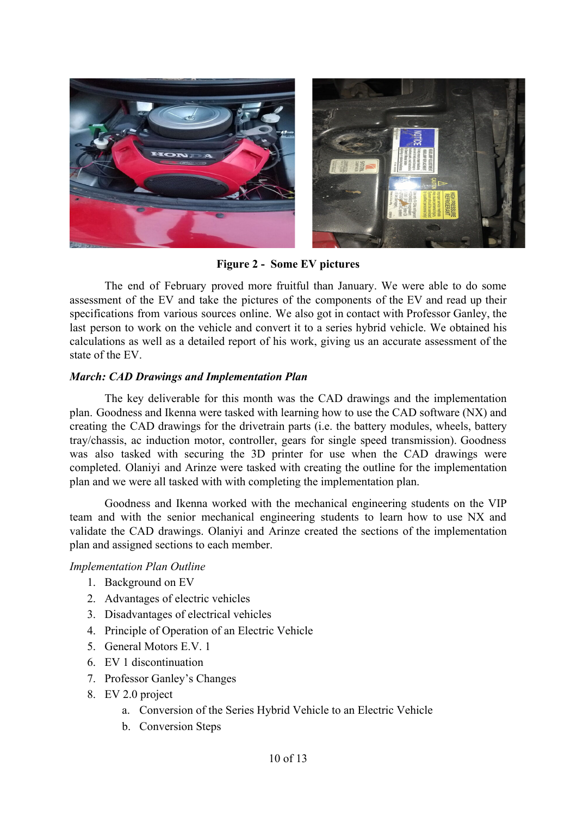

**Figure 2 - Some EV pictures**

The end of February proved more fruitful than January. We were able to do some assessment of the EV and take the pictures of the components of the EV and read up their specifications from various sources online. We also got in contact with Professor Ganley, the last person to work on the vehicle and convert it to a series hybrid vehicle. We obtained his calculations as well as a detailed report of his work, giving us an accurate assessment of the state of the EV.

## *March: CAD Drawings and Implementation Plan*

The key deliverable for this month was the CAD drawings and the implementation plan. Goodness and Ikenna were tasked with learning how to use the CAD software (NX) and creating the CAD drawings for the drivetrain parts (i.e. the battery modules, wheels, battery tray/chassis, ac induction motor, controller, gears for single speed transmission). Goodness was also tasked with securing the 3D printer for use when the CAD drawings were completed. Olaniyi and Arinze were tasked with creating the outline for the implementation plan and we were all tasked with with completing the implementation plan.

Goodness and Ikenna worked with the mechanical engineering students on the VIP team and with the senior mechanical engineering students to learn how to use NX and validate the CAD drawings. Olaniyi and Arinze created the sections of the implementation plan and assigned sections to each member.

### *Implementation Plan Outline*

- 1. Background on EV
- 2. Advantages of electric vehicles
- 3. Disadvantages of electrical vehicles
- 4. Principle of Operation of an Electric Vehicle
- 5. General Motors E.V. 1
- 6. EV 1 discontinuation
- 7. Professor Ganley's Changes
- 8. EV 2.0 project
	- a. Conversion of the Series Hybrid Vehicle to an Electric Vehicle
	- b. Conversion Steps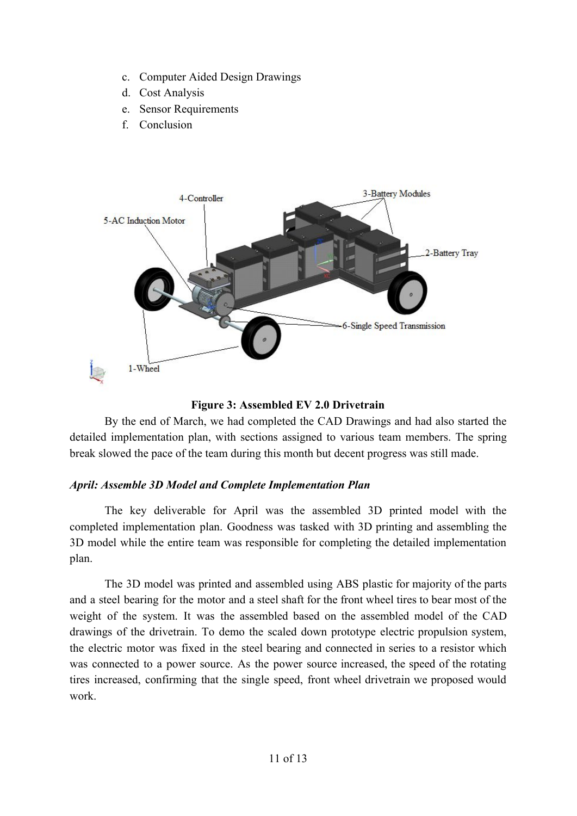- c. Computer Aided Design Drawings
- d. Cost Analysis
- e. Sensor Requirements
- f. Conclusion



# **Figure 3: Assembled EV 2.0 Drivetrain**

By the end of March, we had completed the CAD Drawings and had also started the detailed implementation plan, with sections assigned to various team members. The spring break slowed the pace of the team during this month but decent progress was still made.

# *April: Assemble 3D Model and Complete Implementation Plan*

The key deliverable for April was the assembled 3D printed model with the completed implementation plan. Goodness was tasked with 3D printing and assembling the 3D model while the entire team was responsible for completing the detailed implementation plan.

The 3D model was printed and assembled using ABS plastic for majority of the parts and a steel bearing for the motor and a steel shaft for the front wheel tires to bear most of the weight of the system. It was the assembled based on the assembled model of the CAD drawings of the drivetrain. To demo the scaled down prototype electric propulsion system, the electric motor was fixed in the steel bearing and connected in series to a resistor which was connected to a power source. As the power source increased, the speed of the rotating tires increased, confirming that the single speed, front wheel drivetrain we proposed would work.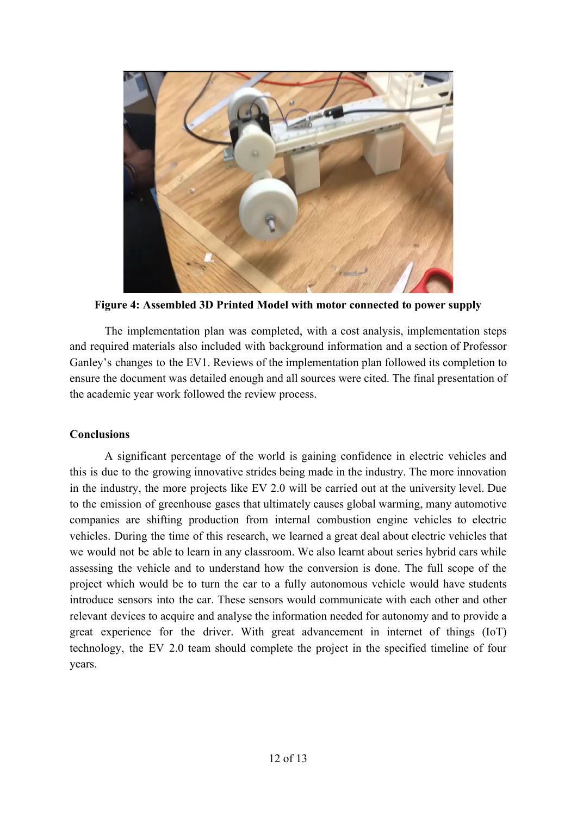

**Figure 4: Assembled 3D Printed Model with motor connected to power supply**

The implementation plan was completed, with a cost analysis, implementation steps and required materials also included with background information and a section of Professor Ganley's changes to the EV1. Reviews of the implementation plan followed its completion to ensure the document was detailed enough and all sources were cited. The final presentation of the academic year work followed the review process.

# **Conclusions**

A significant percentage of the world is gaining confidence in electric vehicles and this is due to the growing innovative strides being made in the industry. The more innovation in the industry, the more projects like EV 2.0 will be carried out at the university level. Due to the emission of greenhouse gases that ultimately causes global warming, many automotive companies are shifting production from internal combustion engine vehicles to electric vehicles. During the time of this research, we learned a great deal about electric vehicles that we would not be able to learn in any classroom. We also learnt about series hybrid cars while assessing the vehicle and to understand how the conversion is done. The full scope of the project which would be to turn the car to a fully autonomous vehicle would have students introduce sensors into the car. These sensors would communicate with each other and other relevant devices to acquire and analyse the information needed for autonomy and to provide a great experience for the driver. With great advancement in internet of things (IoT) technology, the EV 2.0 team should complete the project in the specified timeline of four years.